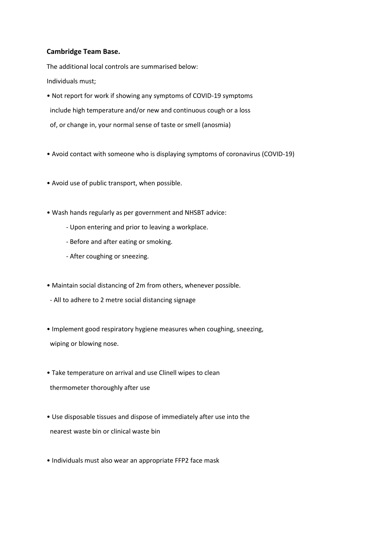## **Cambridge Team Base.**

The additional local controls are summarised below: Individuals must;

- Not report for work if showing any symptoms of COVID-19 symptoms include high temperature and/or new and continuous cough or a loss of, or change in, your normal sense of taste or smell (anosmia)
- Avoid contact with someone who is displaying symptoms of coronavirus (COVID-19)
- Avoid use of public transport, when possible.
- Wash hands regularly as per government and NHSBT advice:
	- Upon entering and prior to leaving a workplace.
	- Before and after eating or smoking.
	- After coughing or sneezing.
- Maintain social distancing of 2m from others, whenever possible.
- All to adhere to 2 metre social distancing signage
- Implement good respiratory hygiene measures when coughing, sneezing, wiping or blowing nose.
- Take temperature on arrival and use Clinell wipes to clean thermometer thoroughly after use
- Use disposable tissues and dispose of immediately after use into the nearest waste bin or clinical waste bin
- Individuals must also wear an appropriate FFP2 face mask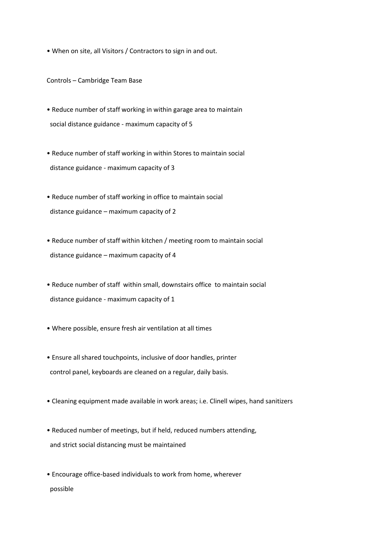• When on site, all Visitors / Contractors to sign in and out.

Controls – Cambridge Team Base

- Reduce number of staff working in within garage area to maintain social distance guidance - maximum capacity of 5
- Reduce number of staff working in within Stores to maintain social distance guidance - maximum capacity of 3
- Reduce number of staff working in office to maintain social distance guidance – maximum capacity of 2
- Reduce number of staff within kitchen / meeting room to maintain social distance guidance – maximum capacity of 4
- Reduce number of staff within small, downstairs office to maintain social distance guidance - maximum capacity of 1
- Where possible, ensure fresh air ventilation at all times
- Ensure all shared touchpoints, inclusive of door handles, printer control panel, keyboards are cleaned on a regular, daily basis.
- Cleaning equipment made available in work areas; i.e. Clinell wipes, hand sanitizers
- Reduced number of meetings, but if held, reduced numbers attending, and strict social distancing must be maintained
- Encourage office-based individuals to work from home, wherever possible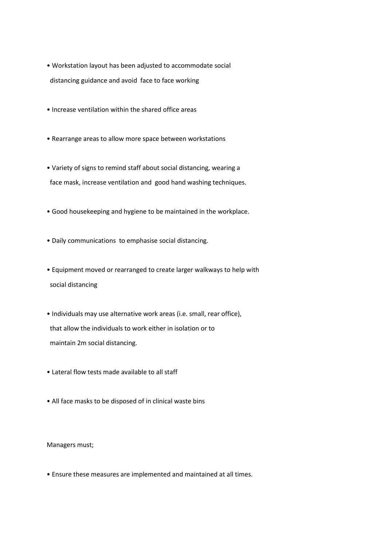- Workstation layout has been adjusted to accommodate social distancing guidance and avoid face to face working
- Increase ventilation within the shared office areas
- Rearrange areas to allow more space between workstations
- Variety of signs to remind staff about social distancing, wearing a face mask, increase ventilation and good hand washing techniques.
- Good housekeeping and hygiene to be maintained in the workplace.
- Daily communications to emphasise social distancing.
- Equipment moved or rearranged to create larger walkways to help with social distancing
- Individuals may use alternative work areas (i.e. small, rear office), that allow the individuals to work either in isolation or to maintain 2m social distancing.
- Lateral flow tests made available to all staff
- All face masks to be disposed of in clinical waste bins

Managers must;

• Ensure these measures are implemented and maintained at all times.